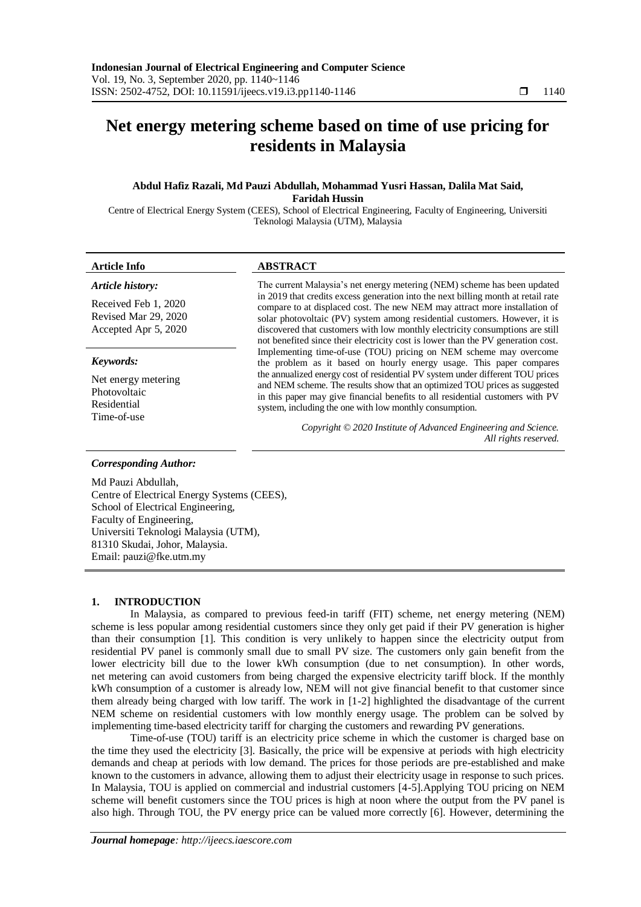# **Net energy metering scheme based on time of use pricing for residents in Malaysia**

# **Abdul Hafiz Razali, Md Pauzi Abdullah, Mohammad Yusri Hassan, Dalila Mat Said, Faridah Hussin**

Centre of Electrical Energy System (CEES), School of Electrical Engineering, Faculty of Engineering, Universiti Teknologi Malaysia (UTM), Malaysia

# **Article Info ABSTRACT**

*Article history:* Received Feb 1, 2020 Revised Mar 29, 2020 Accepted Apr 5, 2020

#### *Keywords:*

Net energy metering Photovoltaic Residential Time-of-use

The current Malaysia's net energy metering (NEM) scheme has been updated in 2019 that credits excess generation into the next billing month at retail rate compare to at displaced cost. The new NEM may attract more installation of solar photovoltaic (PV) system among residential customers. However, it is discovered that customers with low monthly electricity consumptions are still not benefited since their electricity cost is lower than the PV generation cost. Implementing time-of-use (TOU) pricing on NEM scheme may overcome the problem as it based on hourly energy usage. This paper compares the annualized energy cost of residential PV system under different TOU prices and NEM scheme. The results show that an optimized TOU prices as suggested in this paper may give financial benefits to all residential customers with PV system, including the one with low monthly consumption.

> *Copyright © 2020 Institute of Advanced Engineering and Science. All rights reserved.*

#### *Corresponding Author:*

Md Pauzi Abdullah, Centre of Electrical Energy Systems (CEES), School of Electrical Engineering, Faculty of Engineering, Universiti Teknologi Malaysia (UTM), 81310 Skudai, Johor, Malaysia. Email: pauzi@fke.utm.my

# **1. INTRODUCTION**

In Malaysia, as compared to previous feed-in tariff (FIT) scheme, net energy metering (NEM) scheme is less popular among residential customers since they only get paid if their PV generation is higher than their consumption [1]. This condition is very unlikely to happen since the electricity output from residential PV panel is commonly small due to small PV size. The customers only gain benefit from the lower electricity bill due to the lower kWh consumption (due to net consumption). In other words, net metering can avoid customers from being charged the expensive electricity tariff block. If the monthly kWh consumption of a customer is already low, NEM will not give financial benefit to that customer since them already being charged with low tariff. The work in [1-2] highlighted the disadvantage of the current NEM scheme on residential customers with low monthly energy usage. The problem can be solved by implementing time-based electricity tariff for charging the customers and rewarding PV generations.

Time-of-use (TOU) tariff is an electricity price scheme in which the customer is charged base on the time they used the electricity [3]. Basically, the price will be expensive at periods with high electricity demands and cheap at periods with low demand. The prices for those periods are pre-established and make known to the customers in advance, allowing them to adjust their electricity usage in response to such prices. In Malaysia, TOU is applied on commercial and industrial customers [4-5].Applying TOU pricing on NEM scheme will benefit customers since the TOU prices is high at noon where the output from the PV panel is also high. Through TOU, the PV energy price can be valued more correctly [6]. However, determining the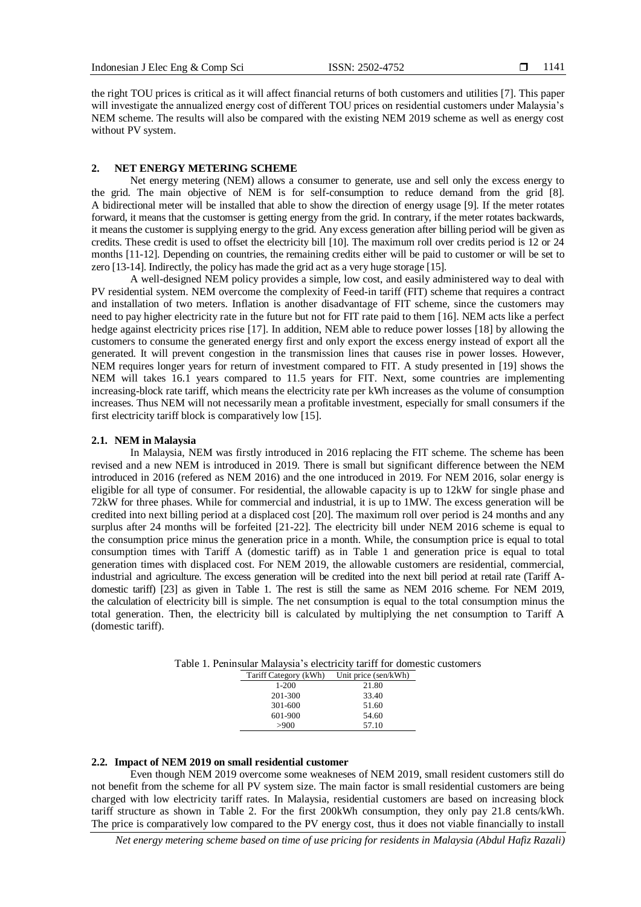the right TOU prices is critical as it will affect financial returns of both customers and utilities [7]. This paper will investigate the annualized energy cost of different TOU prices on residential customers under Malaysia's NEM scheme. The results will also be compared with the existing NEM 2019 scheme as well as energy cost without PV system.

#### **2. NET ENERGY METERING SCHEME**

Net energy metering (NEM) allows a consumer to generate, use and sell only the excess energy to the grid. The main objective of NEM is for self-consumption to reduce demand from the grid [8]. A bidirectional meter will be installed that able to show the direction of energy usage [9]. If the meter rotates forward, it means that the customser is getting energy from the grid. In contrary, if the meter rotates backwards, it means the customer is supplying energy to the grid. Any excess generation after billing period will be given as credits. These credit is used to offset the electricity bill [10]. The maximum roll over credits period is 12 or 24 months [11-12]. Depending on countries, the remaining credits either will be paid to customer or will be set to zero [13-14]. Indirectly, the policy has made the grid act as a very huge storage [15].

A well-designed NEM policy provides a simple, low cost, and easily administered way to deal with PV residential system. NEM overcome the complexity of Feed-in tariff (FIT) scheme that requires a contract and installation of two meters. Inflation is another disadvantage of FIT scheme, since the customers may need to pay higher electricity rate in the future but not for FIT rate paid to them [16]. NEM acts like a perfect hedge against electricity prices rise [17]. In addition, NEM able to reduce power losses [18] by allowing the customers to consume the generated energy first and only export the excess energy instead of export all the generated. It will prevent congestion in the transmission lines that causes rise in power losses. However, NEM requires longer years for return of investment compared to FIT. A study presented in [19] shows the NEM will takes 16.1 years compared to 11.5 years for FIT. Next, some countries are implementing increasing-block rate tariff, which means the electricity rate per kWh increases as the volume of consumption increases. Thus NEM will not necessarily mean a profitable investment, especially for small consumers if the first electricity tariff block is comparatively low [15].

#### **2.1. NEM in Malaysia**

In Malaysia, NEM was firstly introduced in 2016 replacing the FIT scheme. The scheme has been revised and a new NEM is introduced in 2019. There is small but significant difference between the NEM introduced in 2016 (refered as NEM 2016) and the one introduced in 2019. For NEM 2016, solar energy is eligible for all type of consumer. For residential, the allowable capacity is up to 12kW for single phase and 72kW for three phases. While for commercial and industrial, it is up to 1MW. The excess generation will be credited into next billing period at a displaced cost [20]. The maximum roll over period is 24 months and any surplus after 24 months will be forfeited [21-22]. The electricity bill under NEM 2016 scheme is equal to the consumption price minus the generation price in a month. While, the consumption price is equal to total consumption times with Tariff A (domestic tariff) as in Table 1 and generation price is equal to total generation times with displaced cost. For NEM 2019, the allowable customers are residential, commercial, industrial and agriculture. The excess generation will be credited into the next bill period at retail rate (Tariff Adomestic tariff) [23] as given in Table 1. The rest is still the same as NEM 2016 scheme. For NEM 2019, the calculation of electricity bill is simple. The net consumption is equal to the total consumption minus the total generation. Then, the electricity bill is calculated by multiplying the net consumption to Tariff A (domestic tariff).

| ennisana iviana ysna s cheetiichty tuitiit for Gomes |                       |                      |  |  |  |  |
|------------------------------------------------------|-----------------------|----------------------|--|--|--|--|
|                                                      | Tariff Category (kWh) | Unit price (sen/kWh) |  |  |  |  |
|                                                      | 1-200                 | 21.80                |  |  |  |  |
|                                                      | 201-300               | 33.40                |  |  |  |  |
|                                                      | 301-600               | 51.60                |  |  |  |  |
|                                                      | 601-900               | 54.60                |  |  |  |  |
|                                                      | >900                  | 57.10                |  |  |  |  |

Table 1. Peninsular Malaysia's electricity tariff for domestic customers

#### **2.2. Impact of NEM 2019 on small residential customer**

Even though NEM 2019 overcome some weakneses of NEM 2019, small resident customers still do not benefit from the scheme for all PV system size. The main factor is small residential customers are being charged with low electricity tariff rates. In Malaysia, residential customers are based on increasing block tariff structure as shown in Table 2. For the first 200kWh consumption, they only pay 21.8 cents/kWh. The price is comparatively low compared to the PV energy cost, thus it does not viable financially to install

*Net energy metering scheme based on time of use pricing for residents in Malaysia (Abdul Hafiz Razali)*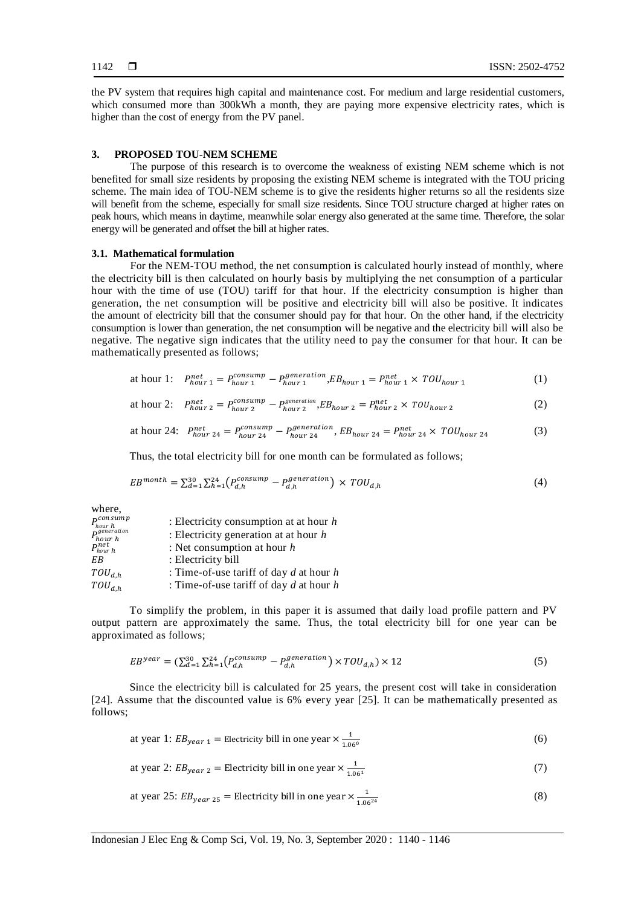the PV system that requires high capital and maintenance cost. For medium and large residential customers, which consumed more than 300kWh a month, they are paying more expensive electricity rates, which is higher than the cost of energy from the PV panel.

### **3. PROPOSED TOU-NEM SCHEME**

The purpose of this research is to overcome the weakness of existing NEM scheme which is not benefited for small size residents by proposing the existing NEM scheme is integrated with the TOU pricing scheme. The main idea of TOU-NEM scheme is to give the residents higher returns so all the residents size will benefit from the scheme, especially for small size residents. Since TOU structure charged at higher rates on peak hours, which means in daytime, meanwhile solar energy also generated at the same time. Therefore, the solar energy will be generated and offset the bill at higher rates.

#### **3.1. Mathematical formulation**

For the NEM-TOU method, the net consumption is calculated hourly instead of monthly, where the electricity bill is then calculated on hourly basis by multiplying the net consumption of a particular hour with the time of use (TOU) tariff for that hour. If the electricity consumption is higher than generation, the net consumption will be positive and electricity bill will also be positive. It indicates the amount of electricity bill that the consumer should pay for that hour. On the other hand, if the electricity consumption is lower than generation, the net consumption will be negative and the electricity bill will also be negative. The negative sign indicates that the utility need to pay the consumer for that hour. It can be mathematically presented as follows;

at hour 1: 
$$
P_{hour\ 1}^{net} = P_{hour\ 1}^{consump} - P_{hour\ 1}^{generation}, EB_{hour\ 1} = P_{hour\ 1}^{net} \times TOU_{hour\ 1}
$$
 (1)

at hour 2: 
$$
P_{hour\ 2}^{net} = P_{hour\ 2}^{consump} - P_{hour\ 2}^{generation} , EB_{hour\ 2} = P_{hour\ 2}^{net} \times T0U_{hour\ 2}
$$
 (2)

at hour 24: 
$$
P_{hour\ 24}^{net} = P_{hour\ 24}^{consump} - P_{hour\ 24}^{generation}, EB_{hour\ 24} = P_{hour\ 24}^{net} \times TOU_{hour\ 24}
$$
 (3)

Thus, the total electricity bill for one month can be formulated as follows;

$$
EB^{month} = \sum_{d=1}^{30} \sum_{h=1}^{24} \left( P_{d,h}^{consump} - P_{d,h}^{generation} \right) \times TOU_{d,h}
$$
\n
$$
\tag{4}
$$

where,

| $P_{hour\ h}^{consump}$    | : Electricity consumption at at hour $h$    |
|----------------------------|---------------------------------------------|
| $P_{hour\ h}^{generation}$ | : Electricity generation at at hour $h$     |
| $P_{hour\ h}^{net}$        | : Net consumption at hour $h$               |
| ΕB                         | : Electricity bill                          |
| $TOU_{d,h}$                | : Time-of-use tariff of day $d$ at hour $h$ |
| $TOU_{d,h}$                | : Time-of-use tariff of day $d$ at hour $h$ |

To simplify the problem, in this paper it is assumed that daily load profile pattern and PV output pattern are approximately the same. Thus, the total electricity bill for one year can be approximated as follows;

$$
EB^{year} = (\sum_{d=1}^{30} \sum_{h=1}^{24} (P_{d,h}^{consump} - P_{d,h}^{generation}) \times TOU_{d,h}) \times 12
$$
\n
$$
(5)
$$

Since the electricity bill is calculated for 25 years, the present cost will take in consideration [24]. Assume that the discounted value is 6% every year [25]. It can be mathematically presented as follows;

at year 1: 
$$
EB_{year\ 1} = \text{Electricity bill in one year} \times \frac{1}{1.06^{\circ}}
$$
 (6)

at year 2: 
$$
EB_{year\ 2} = \text{Electricity bill in one year} \times \frac{1}{1.06^1}
$$
 (7)

at year 25: 
$$
EB_{year\ 25}
$$
 = Electricity bill in one year  $\times \frac{1}{1.06^{24}}$  (8)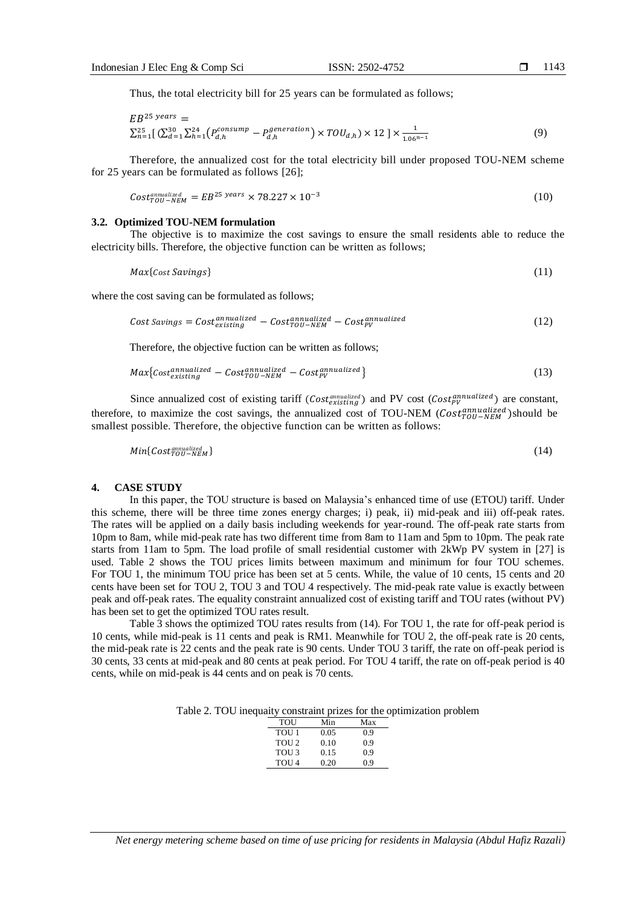Thus, the total electricity bill for 25 years can be formulated as follows;

$$
EB^{25 \text{ years}} =
$$
  
\n
$$
\sum_{n=1}^{25} \left[ \sum_{d=1}^{30} \sum_{h=1}^{24} \left( P_{d,h}^{consump} - P_{d,h}^{generation} \right) \times TOU_{d,h} \right] \times 12 \times \frac{1}{1.06^{n-1}}
$$
\n(9)

Therefore, the annualized cost for the total electricity bill under proposed TOU-NEM scheme for 25 years can be formulated as follows [26];

$$
Cost_{TOU-NEM}^{annualized} = EB^{25 \text{ years}} \times 78.227 \times 10^{-3}
$$
\n
$$
(10)
$$

#### **3.2. Optimized TOU-NEM formulation**

The objective is to maximize the cost savings to ensure the small residents able to reduce the electricity bills. Therefore, the objective function can be written as follows;

$$
Max\{Cost\,Savings\} \tag{11}
$$

where the cost saving can be formulated as follows;

Cost Savings = 
$$
Cost_{existing}^{annualized} - Cost_{TOU-NEW}^{annualized} - Cost_{PV}^{annualized}
$$
 (12)

Therefore, the objective fuction can be written as follows;

$$
Max{costexistinaannualized - CostTOU-NEWd - CostPVannualized}
$$
 (13)

Since annualized cost of existing tariff  $(Cost_{existina}^{amnu a})$  and PV cost  $(Cost_{by}^{annu a lized})$  are constant, therefore, to maximize the cost savings, the annualized cost of TOU-NEM ( $Cost_{TOL-NEW}^{annualized}$ )should be smallest possible. Therefore, the objective function can be written as follows:

$$
Min\{Cost^{\text{anualized}}_{U} \} \tag{14}
$$

#### **4. CASE STUDY**

In this paper, the TOU structure is based on Malaysia's enhanced time of use (ETOU) tariff. Under this scheme, there will be three time zones energy charges; i) peak, ii) mid-peak and iii) off-peak rates. The rates will be applied on a daily basis including weekends for year-round. The off-peak rate starts from 10pm to 8am, while mid-peak rate has two different time from 8am to 11am and 5pm to 10pm. The peak rate starts from 11am to 5pm. The load profile of small residential customer with 2kWp PV system in [27] is used. Table 2 shows the TOU prices limits between maximum and minimum for four TOU schemes. For TOU 1, the minimum TOU price has been set at 5 cents. While, the value of 10 cents, 15 cents and 20 cents have been set for TOU 2, TOU 3 and TOU 4 respectively. The mid-peak rate value is exactly between peak and off-peak rates. The equality constraint annualized cost of existing tariff and TOU rates (without PV) has been set to get the optimized TOU rates result.

Table 3 shows the optimized TOU rates results from (14). For TOU 1, the rate for off-peak period is 10 cents, while mid-peak is 11 cents and peak is RM1. Meanwhile for TOU 2, the off-peak rate is 20 cents, the mid-peak rate is 22 cents and the peak rate is 90 cents. Under TOU 3 tariff, the rate on off-peak period is 30 cents, 33 cents at mid-peak and 80 cents at peak period. For TOU 4 tariff, the rate on off-peak period is 40 cents, while on mid-peak is 44 cents and on peak is 70 cents.

Table 2. TOU inequaity constraint prizes for the optimization problem

| TOU              | Min  | Max |
|------------------|------|-----|
| TOU <sub>1</sub> | 0.05 | 0.9 |
| TOU <sub>2</sub> | 0.10 | 0.9 |
| TOU <sub>3</sub> | 0.15 | 0.9 |
| TOU <sub>4</sub> | 0.20 | 0.9 |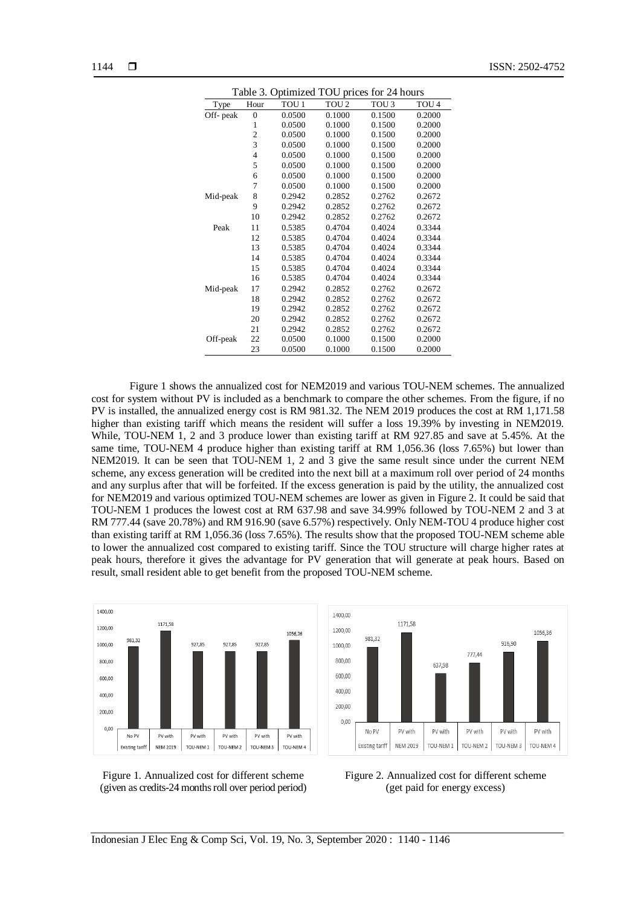| Table 3. Optimized TOU prices for 24 hours |                |                  |                  |                  |                  |  |  |
|--------------------------------------------|----------------|------------------|------------------|------------------|------------------|--|--|
| Type                                       | Hour           | TOU <sub>1</sub> | TOU <sub>2</sub> | TOU <sub>3</sub> | TOU <sub>4</sub> |  |  |
| Off- peak                                  | $\overline{0}$ | 0.0500           | 0.1000           | 0.1500           | 0.2000           |  |  |
|                                            | 1              | 0.0500           | 0.1000           | 0.1500           | 0.2000           |  |  |
|                                            | $\overline{c}$ | 0.0500           | 0.1000           | 0.1500           | 0.2000           |  |  |
|                                            | $\overline{3}$ | 0.0500           | 0.1000           | 0.1500           | 0.2000           |  |  |
|                                            | $\overline{4}$ | 0.0500           | 0.1000           | 0.1500           | 0.2000           |  |  |
|                                            | 5              | 0.0500           | 0.1000           | 0.1500           | 0.2000           |  |  |
|                                            | 6              | 0.0500           | 0.1000           | 0.1500           | 0.2000           |  |  |
|                                            | 7              | 0.0500           | 0.1000           | 0.1500           | 0.2000           |  |  |
| Mid-peak                                   | 8              | 0.2942           | 0.2852           | 0.2762           | 0.2672           |  |  |
|                                            | 9              | 0.2942           | 0.2852           | 0.2762           | 0.2672           |  |  |
|                                            | 10             | 0.2942           | 0.2852           | 0.2762           | 0.2672           |  |  |
| Peak                                       | 11             | 0.5385           | 0.4704           | 0.4024           | 0.3344           |  |  |
|                                            | 12             | 0.5385           | 0.4704           | 0.4024           | 0.3344           |  |  |
|                                            | 13             | 0.5385           | 0.4704           | 0.4024           | 0.3344           |  |  |
|                                            | 14             | 0.5385           | 0.4704           | 0.4024           | 0.3344           |  |  |
|                                            | 15             | 0.5385           | 0.4704           | 0.4024           | 0.3344           |  |  |
|                                            | 16             | 0.5385           | 0.4704           | 0.4024           | 0.3344           |  |  |
| Mid-peak                                   | 17             | 0.2942           | 0.2852           | 0.2762           | 0.2672           |  |  |
|                                            | 18             | 0.2942           | 0.2852           | 0.2762           | 0.2672           |  |  |
|                                            | 19             | 0.2942           | 0.2852           | 0.2762           | 0.2672           |  |  |
|                                            | 20             | 0.2942           | 0.2852           | 0.2762           | 0.2672           |  |  |
|                                            | 21             | 0.2942           | 0.2852           | 0.2762           | 0.2672           |  |  |
| Off-peak                                   | 22             | 0.0500           | 0.1000           | 0.1500           | 0.2000           |  |  |
|                                            | 23             | 0.0500           | 0.1000           | 0.1500           | 0.2000           |  |  |

Figure 1 shows the annualized cost for NEM2019 and various TOU-NEM schemes. The annualized cost for system without PV is included as a benchmark to compare the other schemes. From the figure, if no PV is installed, the annualized energy cost is RM 981.32. The NEM 2019 produces the cost at RM 1,171.58 higher than existing tariff which means the resident will suffer a loss 19.39% by investing in NEM2019. While, TOU-NEM 1, 2 and 3 produce lower than existing tariff at RM 927.85 and save at 5.45%. At the same time, TOU-NEM 4 produce higher than existing tariff at RM 1,056.36 (loss 7.65%) but lower than NEM2019. It can be seen that TOU-NEM 1, 2 and 3 give the same result since under the current NEM scheme, any excess generation will be credited into the next bill at a maximum roll over period of 24 months and any surplus after that will be forfeited. If the excess generation is paid by the utility, the annualized cost for NEM2019 and various optimized TOU-NEM schemes are lower as given in Figure 2. It could be said that TOU-NEM 1 produces the lowest cost at RM 637.98 and save 34.99% followed by TOU-NEM 2 and 3 at RM 777.44 (save 20.78%) and RM 916.90 (save 6.57%) respectively. Only NEM-TOU 4 produce higher cost than existing tariff at RM 1,056.36 (loss 7.65%). The results show that the proposed TOU-NEM scheme able to lower the annualized cost compared to existing tariff. Since the TOU structure will charge higher rates at peak hours, therefore it gives the advantage for PV generation that will generate at peak hours. Based on result, small resident able to get benefit from the proposed TOU-NEM scheme.

1400,00

1200.00

981.32





1056.36

1171 58



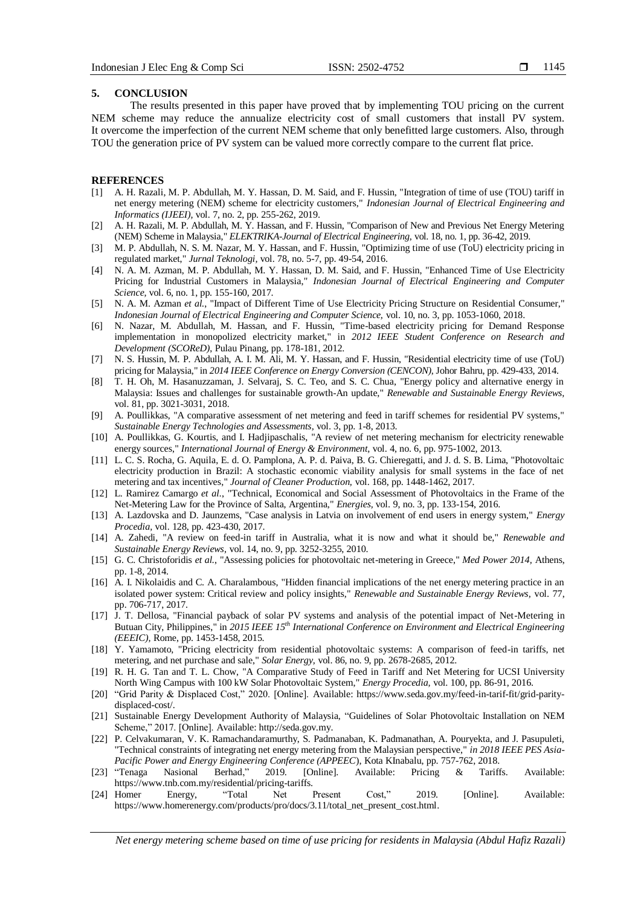#### **5. CONCLUSION**

The results presented in this paper have proved that by implementing TOU pricing on the current NEM scheme may reduce the annualize electricity cost of small customers that install PV system. It overcome the imperfection of the current NEM scheme that only benefitted large customers. Also, through TOU the generation price of PV system can be valued more correctly compare to the current flat price.

#### **REFERENCES**

- [1] A. H. Razali, M. P. Abdullah, M. Y. Hassan, D. M. Said, and F. Hussin, "Integration of time of use (TOU) tariff in net energy metering (NEM) scheme for electricity customers," *Indonesian Journal of Electrical Engineering and Informatics (IJEEI),* vol. 7, no. 2, pp. 255-262, 2019.
- [2] A. H. Razali, M. P. Abdullah, M. Y. Hassan, and F. Hussin, "Comparison of New and Previous Net Energy Metering (NEM) Scheme in Malaysia," *ELEKTRIKA-Journal of Electrical Engineering,* vol. 18, no. 1, pp. 36-42, 2019.
- [3] M. P. Abdullah, N. S. M. Nazar, M. Y. Hassan, and F. Hussin, "Optimizing time of use (ToU) electricity pricing in regulated market," *Jurnal Teknologi,* vol. 78, no. 5-7, pp. 49-54, 2016.
- [4] N. A. M. Azman, M. P. Abdullah, M. Y. Hassan, D. M. Said, and F. Hussin, "Enhanced Time of Use Electricity Pricing for Industrial Customers in Malaysia," *Indonesian Journal of Electrical Engineering and Computer Science,* vol. 6, no. 1, pp. 155-160, 2017.
- [5] N. A. M. Azman *et al.*, "Impact of Different Time of Use Electricity Pricing Structure on Residential Consumer," *Indonesian Journal of Electrical Engineering and Computer Science,* vol. 10, no. 3, pp. 1053-1060, 2018.
- [6] N. Nazar, M. Abdullah, M. Hassan, and F. Hussin, "Time-based electricity pricing for Demand Response implementation in monopolized electricity market," in *2012 IEEE Student Conference on Research and Development (SCOReD)*, Pulau Pinang, pp. 178-181, 2012.
- [7] N. S. Hussin, M. P. Abdullah, A. I. M. Ali, M. Y. Hassan, and F. Hussin, "Residential electricity time of use (ToU) pricing for Malaysia," in *2014 IEEE Conference on Energy Conversion (CENCON)*, Johor Bahru, pp. 429-433, 2014.
- [8] T. H. Oh, M. Hasanuzzaman, J. Selvaraj, S. C. Teo, and S. C. Chua, "Energy policy and alternative energy in Malaysia: Issues and challenges for sustainable growth-An update," *Renewable and Sustainable Energy Reviews,*  vol. 81, pp. 3021-3031, 2018.
- [9] A. Poullikkas, "A comparative assessment of net metering and feed in tariff schemes for residential PV systems," *Sustainable Energy Technologies and Assessments,* vol. 3, pp. 1-8, 2013.
- [10] A. Poullikkas, G. Kourtis, and I. Hadjipaschalis, "A review of net metering mechanism for electricity renewable energy sources," *International Journal of Energy & Environment,* vol. 4, no. 6, pp. 975-1002, 2013.
- [11] L. C. S. Rocha, G. Aquila, E. d. O. Pamplona, A. P. d. Paiva, B. G. Chieregatti, and J. d. S. B. Lima, "Photovoltaic electricity production in Brazil: A stochastic economic viability analysis for small systems in the face of net metering and tax incentives," *Journal of Cleaner Production,* vol. 168, pp. 1448-1462, 2017.
- [12] L. Ramirez Camargo *et al.*, "Technical, Economical and Social Assessment of Photovoltaics in the Frame of the Net-Metering Law for the Province of Salta, Argentina," *Energies,* vol. 9, no. 3, pp. 133-154, 2016.
- [13] A. Lazdovska and D. Jaunzems, "Case analysis in Latvia on involvement of end users in energy system," *Energy Procedia,* vol. 128, pp. 423-430, 2017.
- [14] A. Zahedi, "A review on feed-in tariff in Australia, what it is now and what it should be," *Renewable and Sustainable Energy Reviews,* vol. 14, no. 9, pp. 3252-3255, 2010.
- [15] G. C. Christoforidis *et al.*, "Assessing policies for photovoltaic net-metering in Greece," *Med Power 2014,* Athens, pp. 1-8, 2014.
- [16] A. I. Nikolaidis and C. A. Charalambous, "Hidden financial implications of the net energy metering practice in an isolated power system: Critical review and policy insights," *Renewable and Sustainable Energy Reviews,* vol. 77, pp. 706-717, 2017.
- [17] J. T. Dellosa, "Financial payback of solar PV systems and analysis of the potential impact of Net-Metering in Butuan City, Philippines," in *2015 IEEE 15th International Conference on Environment and Electrical Engineering (EEEIC),* Rome, pp. 1453-1458, 2015.
- [18] Y. Yamamoto, "Pricing electricity from residential photovoltaic systems: A comparison of feed-in tariffs, net metering, and net purchase and sale," *Solar Energy,* vol. 86, no. 9, pp. 2678-2685, 2012.
- [19] R. H. G. Tan and T. L. Chow, "A Comparative Study of Feed in Tariff and Net Metering for UCSI University North Wing Campus with 100 kW Solar Photovoltaic System," *Energy Procedia,* vol. 100, pp. 86-91, 2016.
- [20] "Grid Parity & Displaced Cost," 2020. [Online]. Available: [https://www.seda.gov.my/feed-in-tarif-fit/grid-parity](https://www.seda.gov.my/feed-in-tarif-fit/grid-parity-displaced-cost/)[displaced-cost/.](https://www.seda.gov.my/feed-in-tarif-fit/grid-parity-displaced-cost/)
- [21] Sustainable Energy Development Authority of Malaysia, "Guidelines of Solar Photovoltaic Installation on NEM Scheme," 2017. [Online]. Available[: http://seda.gov.my.](http://seda.gov.my/)
- [22] P. Celvakumaran, V. K. Ramachandaramurthy, S. Padmanaban, K. Padmanathan, A. Pouryekta, and J. Pasupuleti, "Technical constraints of integrating net energy metering from the Malaysian perspective," *in 2018 IEEE PES Asia-*
- *Pacific Power and Energy Engineering Conference (APPEEC)*, Kota KInabalu, pp. 757-762, 2018.<br>
"Tenaga Nasional Berhad," 2019. [Online]. Available: Pricing & Tarif [23] "Tenaga Nasional Berhad," 2019. [Online]. Available: Pricing & Tariffs. Available: [https://www.tnb.com.my/residential/pricing-tariffs.](https://www.tnb.com.my/residential/pricing-tariffs)
- [24] Homer Energy, "Total Net Present Cost," 2019. [Online]. Available: [https://www.homerenergy.com/products/pro/docs/3.11/total\\_net\\_present\\_cost.html.](https://www.homerenergy.com/products/pro/docs/3.11/total_net_present_cost.html)

*Net energy metering scheme based on time of use pricing for residents in Malaysia (Abdul Hafiz Razali)*